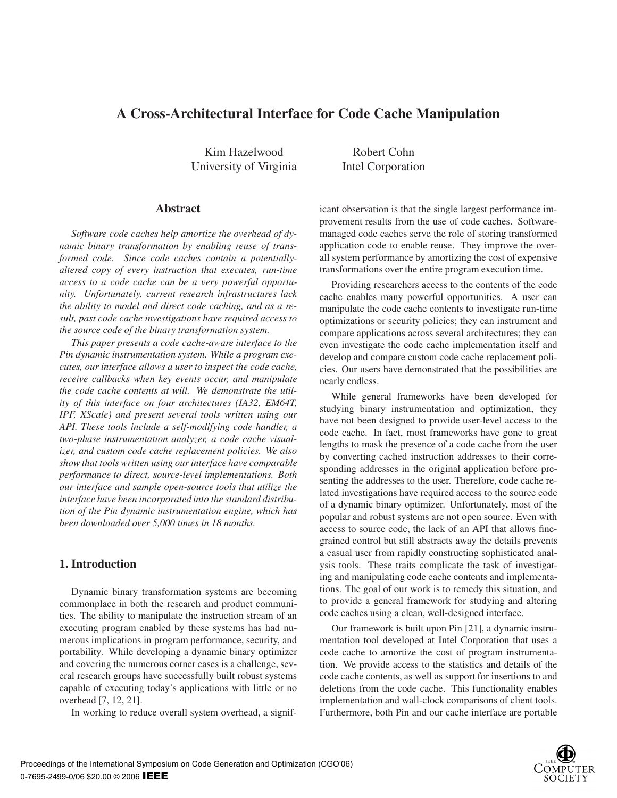# **A Cross-Architectural Interface for Code Cache Manipulation**

Kim Hazelwood University of Virginia

Robert Cohn Intel Corporation

#### **Abstract**

*Software code caches help amortize the overhead of dynamic binary transformation by enabling reuse of transformed code. Since code caches contain a potentiallyaltered copy of every instruction that executes, run-time access to a code cache can be a very powerful opportunity. Unfortunately, current research infrastructures lack the ability to model and direct code caching, and as a result, past code cache investigations have required access to the source code of the binary transformation system.*

*This paper presents a code cache-aware interface to the Pin dynamic instrumentation system. While a program executes, our interface allows a user to inspect the code cache, receive callbacks when key events occur, and manipulate the code cache contents at will. We demonstrate the utility of this interface on four architectures (IA32, EM64T, IPF, XScale) and present several tools written using our API. These tools include a self-modifying code handler, a two-phase instrumentation analyzer, a code cache visualizer, and custom code cache replacement policies. We also show that tools written using our interface have comparable performance to direct, source-level implementations. Both our interface and sample open-source tools that utilize the interface have been incorporated into the standard distribution of the Pin dynamic instrumentation engine, which has been downloaded over 5,000 times in 18 months.*

#### **1. Introduction**

Dynamic binary transformation systems are becoming commonplace in both the research and product communities. The ability to manipulate the instruction stream of an executing program enabled by these systems has had numerous implications in program performance, security, and portability. While developing a dynamic binary optimizer and covering the numerous corner cases is a challenge, several research groups have successfully built robust systems capable of executing today's applications with little or no overhead [7, 12, 21].

In working to reduce overall system overhead, a signif-

icant observation is that the single largest performance improvement results from the use of code caches. Softwaremanaged code caches serve the role of storing transformed application code to enable reuse. They improve the overall system performance by amortizing the cost of expensive transformations over the entire program execution time.

Providing researchers access to the contents of the code cache enables many powerful opportunities. A user can manipulate the code cache contents to investigate run-time optimizations or security policies; they can instrument and compare applications across several architectures; they can even investigate the code cache implementation itself and develop and compare custom code cache replacement policies. Our users have demonstrated that the possibilities are nearly endless.

While general frameworks have been developed for studying binary instrumentation and optimization, they have not been designed to provide user-level access to the code cache. In fact, most frameworks have gone to great lengths to mask the presence of a code cache from the user by converting cached instruction addresses to their corresponding addresses in the original application before presenting the addresses to the user. Therefore, code cache related investigations have required access to the source code of a dynamic binary optimizer. Unfortunately, most of the popular and robust systems are not open source. Even with access to source code, the lack of an API that allows finegrained control but still abstracts away the details prevents a casual user from rapidly constructing sophisticated analysis tools. These traits complicate the task of investigating and manipulating code cache contents and implementations. The goal of our work is to remedy this situation, and to provide a general framework for studying and altering code caches using a clean, well-designed interface.

Our framework is built upon Pin [21], a dynamic instrumentation tool developed at Intel Corporation that uses a code cache to amortize the cost of program instrumentation. We provide access to the statistics and details of the code cache contents, as well as support for insertions to and deletions from the code cache. This functionality enables implementation and wall-clock comparisons of client tools. Furthermore, both Pin and our cache interface are portable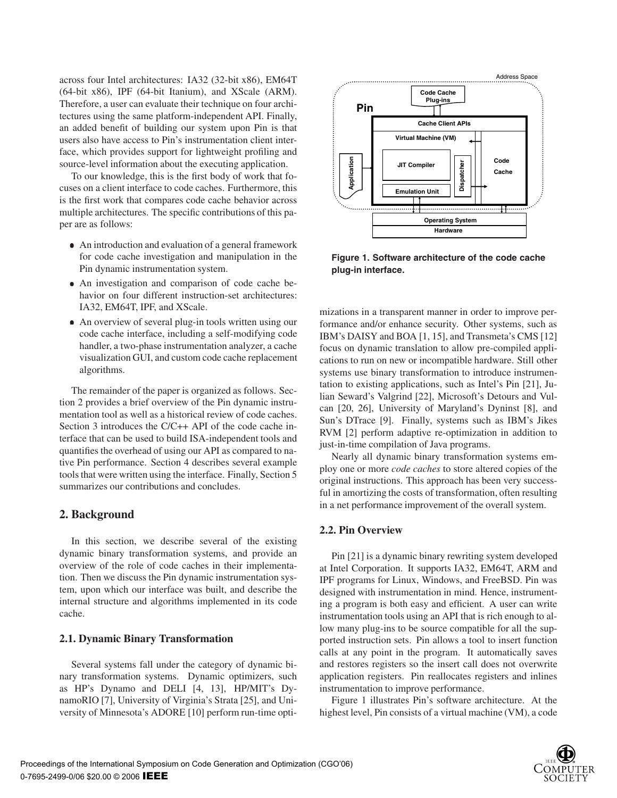across four Intel architectures: IA32 (32-bit x86), EM64T (64-bit x86), IPF (64-bit Itanium), and XScale (ARM). Therefore, a user can evaluate their technique on four architectures using the same platform-independent API. Finally, an added benefit of building our system upon Pin is that users also have access to Pin's instrumentation client interface, which provides support for lightweight profiling and source-level information about the executing application.

To our knowledge, this is the first body of work that focuses on a client interface to code caches. Furthermore, this is the first work that compares code cache behavior across multiple architectures. The specific contributions of this paper are as follows:

- An introduction and evaluation of a general framework for code cache investigation and manipulation in the Pin dynamic instrumentation system.
- An investigation and comparison of code cache behavior on four different instruction-set architectures: IA32, EM64T, IPF, and XScale.
- An overview of several plug-in tools written using our code cache interface, including a self-modifying code handler, a two-phase instrumentation analyzer, a cache visualization GUI, and custom code cache replacement algorithms.

The remainder of the paper is organized as follows. Section 2 provides a brief overview of the Pin dynamic instrumentation tool as well as a historical review of code caches. Section 3 introduces the C/C++ API of the code cache interface that can be used to build ISA-independent tools and quantifies the overhead of using our API as compared to native Pin performance. Section 4 describes several example tools that were written using the interface. Finally, Section 5 summarizes our contributions and concludes.

# **2. Background**

In this section, we describe several of the existing dynamic binary transformation systems, and provide an overview of the role of code caches in their implementation. Then we discuss the Pin dynamic instrumentation system, upon which our interface was built, and describe the internal structure and algorithms implemented in its code cache.

#### **2.1. Dynamic Binary Transformation**

Several systems fall under the category of dynamic binary transformation systems. Dynamic optimizers, such as HP's Dynamo and DELI [4, 13], HP/MIT's DynamoRIO [7], University of Virginia's Strata [25], and University of Minnesota's ADORE [10] perform run-time opti-



**Figure 1. Software architecture of the code cache plug-in interface.**

mizations in a transparent manner in order to improve performance and/or enhance security. Other systems, such as IBM's DAISY and BOA [1, 15], and Transmeta's CMS [12] focus on dynamic translation to allow pre-compiled applications to run on new or incompatible hardware. Still other systems use binary transformation to introduce instrumentation to existing applications, such as Intel's Pin [21], Julian Seward's Valgrind [22], Microsoft's Detours and Vulcan [20, 26], University of Maryland's Dyninst [8], and Sun's DTrace [9]. Finally, systems such as IBM's Jikes RVM [2] perform adaptive re-optimization in addition to just-in-time compilation of Java programs.

Nearly all dynamic binary transformation systems employ one or more *code caches* to store altered copies of the original instructions. This approach has been very successful in amortizing the costs of transformation, often resulting in a net performance improvement of the overall system.

# **2.2. Pin Overview**

Pin [21] is a dynamic binary rewriting system developed at Intel Corporation. It supports IA32, EM64T, ARM and IPF programs for Linux, Windows, and FreeBSD. Pin was designed with instrumentation in mind. Hence, instrumenting a program is both easy and efficient. A user can write instrumentation tools using an API that is rich enough to allow many plug-ins to be source compatible for all the supported instruction sets. Pin allows a tool to insert function calls at any point in the program. It automatically saves and restores registers so the insert call does not overwrite application registers. Pin reallocates registers and inlines instrumentation to improve performance.

Figure 1 illustrates Pin's software architecture. At the highest level, Pin consists of a virtual machine (VM), a code

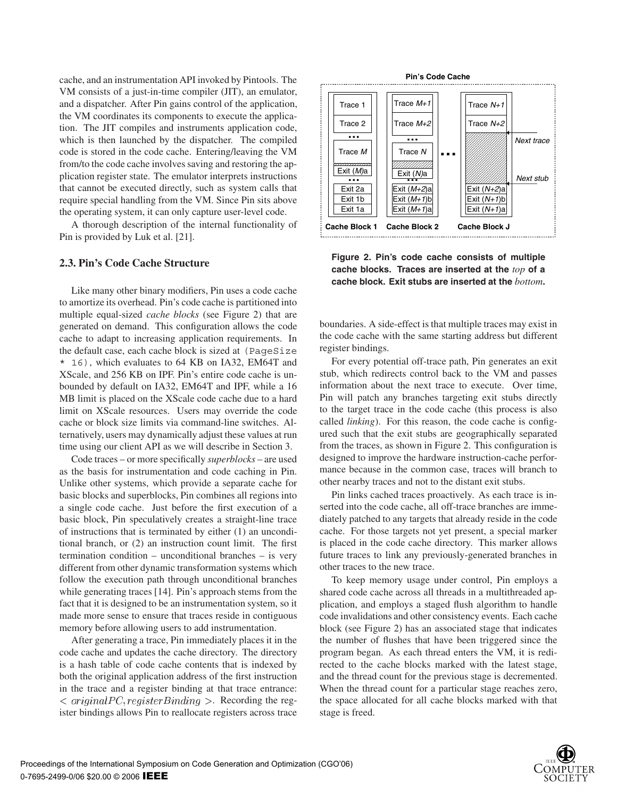cache, and an instrumentation API invoked by Pintools. The VM consists of a just-in-time compiler (JIT), an emulator, and a dispatcher. After Pin gains control of the application, the VM coordinates its components to execute the application. The JIT compiles and instruments application code, which is then launched by the dispatcher. The compiled code is stored in the code cache. Entering/leaving the VM from/to the code cache involves saving and restoring the application register state. The emulator interprets instructions that cannot be executed directly, such as system calls that require special handling from the VM. Since Pin sits above the operating system, it can only capture user-level code.

A thorough description of the internal functionality of Pin is provided by Luk et al. [21].

#### **2.3. Pin's Code Cache Structure**

Like many other binary modifiers, Pin uses a code cache to amortize its overhead. Pin's code cache is partitioned into multiple equal-sized *cache blocks* (see Figure 2) that are generated on demand. This configuration allows the code cache to adapt to increasing application requirements. In the default case, each cache block is sized at (PageSize \* 16), which evaluates to 64 KB on IA32, EM64T and XScale, and 256 KB on IPF. Pin's entire code cache is unbounded by default on IA32, EM64T and IPF, while a 16 MB limit is placed on the XScale code cache due to a hard limit on XScale resources. Users may override the code cache or block size limits via command-line switches. Alternatively, users may dynamically adjust these values at run time using our client API as we will describe in Section 3.

Code traces – or more specifically *superblocks* – are used as the basis for instrumentation and code caching in Pin. Unlike other systems, which provide a separate cache for basic blocks and superblocks, Pin combines all regions into a single code cache. Just before the first execution of a basic block, Pin speculatively creates a straight-line trace of instructions that is terminated by either (1) an unconditional branch, or (2) an instruction count limit. The first termination condition – unconditional branches – is very different from other dynamic transformation systems which follow the execution path through unconditional branches while generating traces [14]. Pin's approach stems from the fact that it is designed to be an instrumentation system, so it made more sense to ensure that traces reside in contiguous memory before allowing users to add instrumentation.

After generating a trace, Pin immediately places it in the code cache and updates the cache directory. The directory is a hash table of code cache contents that is indexed by both the original application address of the first instruction in the trace and a register binding at that trace entrance:  $\langle$  original PC, register Binding  $\rangle$ . Recording the register bindings allows Pin to reallocate registers across trace



**Figure 2. Pin's code cache consists of multiple cache blocks. Traces are inserted at the** *top* **of a cache block. Exit stubs are inserted at the** *bottom***.**

boundaries. A side-effect is that multiple traces may exist in the code cache with the same starting address but different register bindings.

For every potential off-trace path, Pin generates an exit stub, which redirects control back to the VM and passes information about the next trace to execute. Over time, Pin will patch any branches targeting exit stubs directly to the target trace in the code cache (this process is also called *linking*). For this reason, the code cache is configured such that the exit stubs are geographically separated from the traces, as shown in Figure 2. This configuration is designed to improve the hardware instruction-cache performance because in the common case, traces will branch to other nearby traces and not to the distant exit stubs.

Pin links cached traces proactively. As each trace is inserted into the code cache, all off-trace branches are immediately patched to any targets that already reside in the code cache. For those targets not yet present, a special marker is placed in the code cache directory. This marker allows future traces to link any previously-generated branches in other traces to the new trace.

To keep memory usage under control, Pin employs a shared code cache across all threads in a multithreaded application, and employs a staged flush algorithm to handle code invalidations and other consistency events. Each cache block (see Figure 2) has an associated stage that indicates the number of flushes that have been triggered since the program began. As each thread enters the VM, it is redirected to the cache blocks marked with the latest stage, and the thread count for the previous stage is decremented. When the thread count for a particular stage reaches zero, the space allocated for all cache blocks marked with that stage is freed.

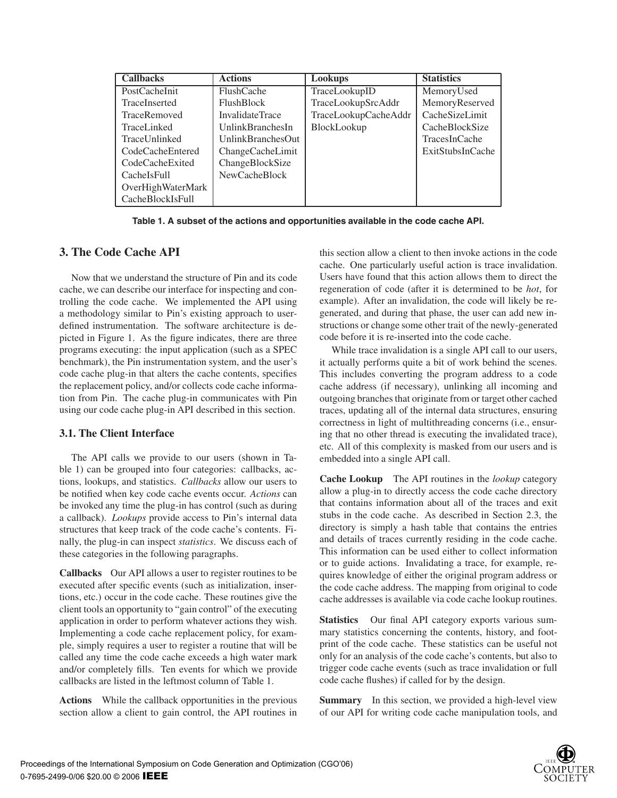| <b>Callbacks</b>     | <b>Actions</b>          | Lookups              | <b>Statistics</b>    |
|----------------------|-------------------------|----------------------|----------------------|
| PostCacheInit        | <b>FlushCache</b>       | TraceLookupID        | MemoryUsed           |
| <b>TraceInserted</b> | <b>FlushBlock</b>       | TraceLookupSrcAddr   | MemoryReserved       |
| TraceRemoved         | InvalidateTrace         | TraceLookupCacheAddr | CacheSizeLimit       |
| TraceLinked          | <b>UnlinkBranchesIn</b> | BlockLookup          | CacheBlockSize       |
| TraceUnlinked        | UnlinkBranchesOut       |                      | <b>TracesInCache</b> |
| CodeCacheEntered     | ChangeCacheLimit        |                      | ExitStubsInCache     |
| CodeCacheExited      | ChangeBlockSize         |                      |                      |
| CachelsFull          | NewCacheBlock           |                      |                      |
| OverHighWaterMark    |                         |                      |                      |
| CacheBlockIsFull     |                         |                      |                      |

**Table 1. A subset of the actions and opportunities available in the code cache API.**

# **3. The Code Cache API**

Now that we understand the structure of Pin and its code cache, we can describe our interface for inspecting and controlling the code cache. We implemented the API using a methodology similar to Pin's existing approach to userdefined instrumentation. The software architecture is depicted in Figure 1. As the figure indicates, there are three programs executing: the input application (such as a SPEC benchmark), the Pin instrumentation system, and the user's code cache plug-in that alters the cache contents, specifies the replacement policy, and/or collects code cache information from Pin. The cache plug-in communicates with Pin using our code cache plug-in API described in this section.

# **3.1. The Client Interface**

The API calls we provide to our users (shown in Table 1) can be grouped into four categories: callbacks, actions, lookups, and statistics. *Callbacks* allow our users to be notified when key code cache events occur. *Actions* can be invoked any time the plug-in has control (such as during a callback). *Lookups* provide access to Pin's internal data structures that keep track of the code cache's contents. Finally, the plug-in can inspect *statistics*. We discuss each of these categories in the following paragraphs.

**Callbacks** Our API allows a user to register routines to be executed after specific events (such as initialization, insertions, etc.) occur in the code cache. These routines give the client tools an opportunity to "gain control" of the executing application in order to perform whatever actions they wish. Implementing a code cache replacement policy, for example, simply requires a user to register a routine that will be called any time the code cache exceeds a high water mark and/or completely fills. Ten events for which we provide callbacks are listed in the leftmost column of Table 1.

**Actions** While the callback opportunities in the previous section allow a client to gain control, the API routines in this section allow a client to then invoke actions in the code cache. One particularly useful action is trace invalidation. Users have found that this action allows them to direct the regeneration of code (after it is determined to be *hot*, for example). After an invalidation, the code will likely be regenerated, and during that phase, the user can add new instructions or change some other trait of the newly-generated code before it is re-inserted into the code cache.

While trace invalidation is a single API call to our users, it actually performs quite a bit of work behind the scenes. This includes converting the program address to a code cache address (if necessary), unlinking all incoming and outgoing branches that originate from or target other cached traces, updating all of the internal data structures, ensuring correctness in light of multithreading concerns (i.e., ensuring that no other thread is executing the invalidated trace), etc. All of this complexity is masked from our users and is embedded into a single API call.

**Cache Lookup** The API routines in the *lookup* category allow a plug-in to directly access the code cache directory that contains information about all of the traces and exit stubs in the code cache. As described in Section 2.3, the directory is simply a hash table that contains the entries and details of traces currently residing in the code cache. This information can be used either to collect information or to guide actions. Invalidating a trace, for example, requires knowledge of either the original program address or the code cache address. The mapping from original to code cache addresses is available via code cache lookup routines.

**Statistics** Our final API category exports various summary statistics concerning the contents, history, and footprint of the code cache. These statistics can be useful not only for an analysis of the code cache's contents, but also to trigger code cache events (such as trace invalidation or full code cache flushes) if called for by the design.

**Summary** In this section, we provided a high-level view of our API for writing code cache manipulation tools, and

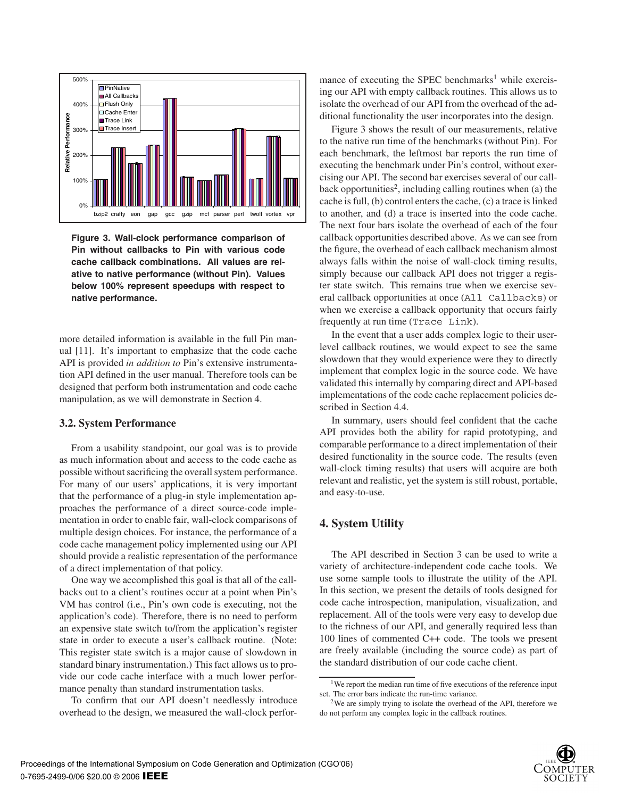

**Figure 3. Wall-clock performance comparison of Pin without callbacks to Pin with various code cache callback combinations. All values are relative to native performance (without Pin). Values below 100% represent speedups with respect to native performance.**

more detailed information is available in the full Pin manual [11]. It's important to emphasize that the code cache API is provided *in addition to* Pin's extensive instrumentation API defined in the user manual. Therefore tools can be designed that perform both instrumentation and code cache manipulation, as we will demonstrate in Section 4.

#### **3.2. System Performance**

From a usability standpoint, our goal was is to provide as much information about and access to the code cache as possible without sacrificing the overall system performance. For many of our users' applications, it is very important that the performance of a plug-in style implementation approaches the performance of a direct source-code implementation in order to enable fair, wall-clock comparisons of multiple design choices. For instance, the performance of a code cache management policy implemented using our API should provide a realistic representation of the performance of a direct implementation of that policy.

One way we accomplished this goal is that all of the callbacks out to a client's routines occur at a point when Pin's VM has control (i.e., Pin's own code is executing, not the application's code). Therefore, there is no need to perform an expensive state switch to/from the application's register state in order to execute a user's callback routine. (Note: This register state switch is a major cause of slowdown in standard binary instrumentation.) This fact allows us to provide our code cache interface with a much lower performance penalty than standard instrumentation tasks.

To confirm that our API doesn't needlessly introduce overhead to the design, we measured the wall-clock perfor-

mance of executing the SPEC benchmarks<sup>1</sup> while exercising our API with empty callback routines. This allows us to isolate the overhead of our API from the overhead of the additional functionality the user incorporates into the design.

Figure 3 shows the result of our measurements, relative to the native run time of the benchmarks (without Pin). For each benchmark, the leftmost bar reports the run time of executing the benchmark under Pin's control, without exercising our API. The second bar exercises several of our callback opportunities<sup>2</sup>, including calling routines when (a) the cache is full, (b) control enters the cache, (c) a trace is linked to another, and (d) a trace is inserted into the code cache. The next four bars isolate the overhead of each of the four callback opportunities described above. As we can see from the figure, the overhead of each callback mechanism almost always falls within the noise of wall-clock timing results, simply because our callback API does not trigger a register state switch. This remains true when we exercise several callback opportunities at once (All Callbacks) or when we exercise a callback opportunity that occurs fairly frequently at run time (Trace Link).

In the event that a user adds complex logic to their userlevel callback routines, we would expect to see the same slowdown that they would experience were they to directly implement that complex logic in the source code. We have validated this internally by comparing direct and API-based implementations of the code cache replacement policies described in Section 4.4.

In summary, users should feel confident that the cache API provides both the ability for rapid prototyping, and comparable performance to a direct implementation of their desired functionality in the source code. The results (even wall-clock timing results) that users will acquire are both relevant and realistic, yet the system is still robust, portable, and easy-to-use.

# **4. System Utility**

The API described in Section 3 can be used to write a variety of architecture-independent code cache tools. We use some sample tools to illustrate the utility of the API. In this section, we present the details of tools designed for code cache introspection, manipulation, visualization, and replacement. All of the tools were very easy to develop due to the richness of our API, and generally required less than 100 lines of commented C++ code. The tools we present are freely available (including the source code) as part of the standard distribution of our code cache client.

<sup>&</sup>lt;sup>1</sup>We report the median run time of five executions of the reference input set. The error bars indicate the run-time variance.

<sup>2</sup>We are simply trying to isolate the overhead of the API, therefore we do not perform any complex logic in the callback routines.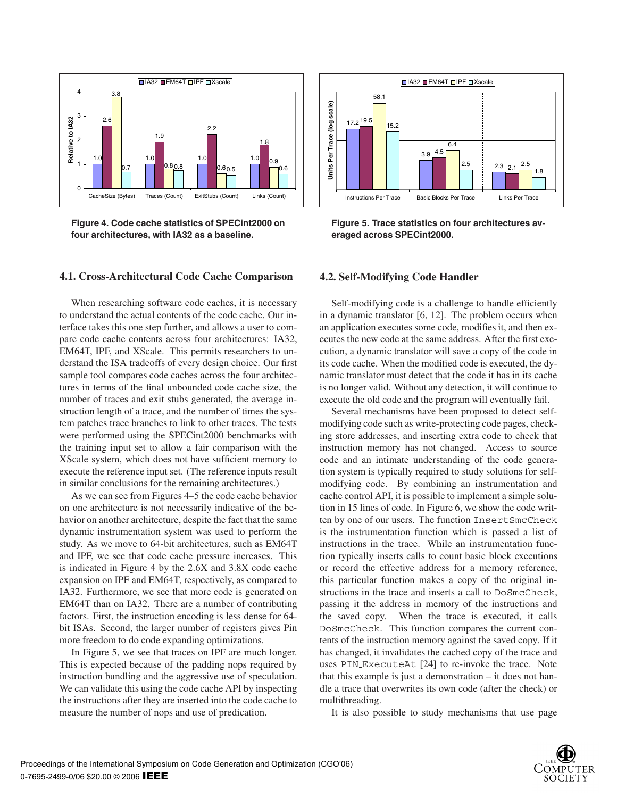

**Figure 4. Code cache statistics of SPECint2000 on four architectures, with IA32 as a baseline.**

# **4.1. Cross-Architectural Code Cache Comparison**

When researching software code caches, it is necessary to understand the actual contents of the code cache. Our interface takes this one step further, and allows a user to compare code cache contents across four architectures: IA32, EM64T, IPF, and XScale. This permits researchers to understand the ISA tradeoffs of every design choice. Our first sample tool compares code caches across the four architectures in terms of the final unbounded code cache size, the number of traces and exit stubs generated, the average instruction length of a trace, and the number of times the system patches trace branches to link to other traces. The tests were performed using the SPECint2000 benchmarks with the training input set to allow a fair comparison with the XScale system, which does not have sufficient memory to execute the reference input set. (The reference inputs result in similar conclusions for the remaining architectures.)

As we can see from Figures 4–5 the code cache behavior on one architecture is not necessarily indicative of the behavior on another architecture, despite the fact that the same dynamic instrumentation system was used to perform the study. As we move to 64-bit architectures, such as EM64T and IPF, we see that code cache pressure increases. This is indicated in Figure 4 by the 2.6X and 3.8X code cache expansion on IPF and EM64T, respectively, as compared to IA32. Furthermore, we see that more code is generated on EM64T than on IA32. There are a number of contributing factors. First, the instruction encoding is less dense for 64 bit ISAs. Second, the larger number of registers gives Pin more freedom to do code expanding optimizations.

In Figure 5, we see that traces on IPF are much longer. This is expected because of the padding nops required by instruction bundling and the aggressive use of speculation. We can validate this using the code cache API by inspecting the instructions after they are inserted into the code cache to measure the number of nops and use of predication.



**Figure 5. Trace statistics on four architectures averaged across SPECint2000.**

#### **4.2. Self-Modifying Code Handler**

Self-modifying code is a challenge to handle efficiently in a dynamic translator [6, 12]. The problem occurs when an application executes some code, modifies it, and then executes the new code at the same address. After the first execution, a dynamic translator will save a copy of the code in its code cache. When the modified code is executed, the dynamic translator must detect that the code it has in its cache is no longer valid. Without any detection, it will continue to execute the old code and the program will eventually fail.

Several mechanisms have been proposed to detect selfmodifying code such as write-protecting code pages, checking store addresses, and inserting extra code to check that instruction memory has not changed. Access to source code and an intimate understanding of the code generation system is typically required to study solutions for selfmodifying code. By combining an instrumentation and cache control API, it is possible to implement a simple solution in 15 lines of code. In Figure 6, we show the code written by one of our users. The function InsertSmcCheck is the instrumentation function which is passed a list of instructions in the trace. While an instrumentation function typically inserts calls to count basic block executions or record the effective address for a memory reference, this particular function makes a copy of the original instructions in the trace and inserts a call to DoSmcCheck, passing it the address in memory of the instructions and the saved copy. When the trace is executed, it calls DoSmcCheck. This function compares the current contents of the instruction memory against the saved copy. If it has changed, it invalidates the cached copy of the trace and uses PIN\_ExecuteAt [24] to re-invoke the trace. Note that this example is just a demonstration – it does not handle a trace that overwrites its own code (after the check) or multithreading.

It is also possible to study mechanisms that use page

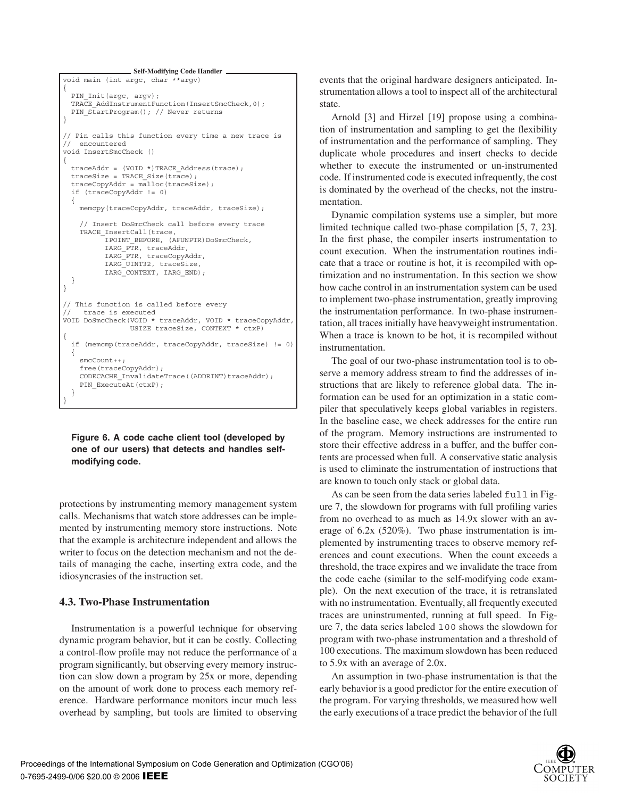```
Self-Modifying Code Handler
void main (int argc, char **argv)
{
  PIN Init(argc, argv);
  TRACE_AddInstrumentFunction(InsertSmcCheck,0);
  PIN_StartProgram(); // Never returns
}
// Pin calls this function every time a new trace is
   encountered
void InsertSmcCheck ()
{
  traceAddr = (VOID *)TRACE Address(trace);
  traceSize = TRACE Size(trace);
  traceCopyAddr = malloc(traceSize);
  if (traceCopyAddr != 0)
  {
    memcpy(traceCopyAddr, traceAddr, traceSize);
    // Insert DoSmcCheck call before every trace
    TRACE_InsertCall(trace,
          .<br>IPOINT_BEFORE, (AFUNPTR)DoSmcCheck,
          IARG_PTR, traceAddr,
          IARG_PTR, traceCopyAddr,
          IARG_UINT32, traceSize,
          IARG_CONTEXT, IARG_END);
 }
}
// This function is called before every
   trace is executed
VOID DoSmcCheck(VOID * traceAddr, VOID * traceCopyAddr,
                USIZE traceSize, CONTEXT * ctxP)
{
 if (memcmp(traceAddr, traceCopyAddr, traceSize) != 0)
  {
    smcCount++free(traceCopyAddr);
    CODECACHE_InvalidateTrace((ADDRINT)traceAddr);
    PIN_ExecuteAt(ctxP);
  }
}
```
# **Figure 6. A code cache client tool (developed by one of our users) that detects and handles selfmodifying code.**

protections by instrumenting memory management system calls. Mechanisms that watch store addresses can be implemented by instrumenting memory store instructions. Note that the example is architecture independent and allows the writer to focus on the detection mechanism and not the details of managing the cache, inserting extra code, and the idiosyncrasies of the instruction set.

# **4.3. Two-Phase Instrumentation**

Instrumentation is a powerful technique for observing dynamic program behavior, but it can be costly. Collecting a control-flow profile may not reduce the performance of a program significantly, but observing every memory instruction can slow down a program by 25x or more, depending on the amount of work done to process each memory reference. Hardware performance monitors incur much less overhead by sampling, but tools are limited to observing events that the original hardware designers anticipated. Instrumentation allows a tool to inspect all of the architectural state.

Arnold [3] and Hirzel [19] propose using a combination of instrumentation and sampling to get the flexibility of instrumentation and the performance of sampling. They duplicate whole procedures and insert checks to decide whether to execute the instrumented or un-instrumented code. If instrumented code is executed infrequently, the cost is dominated by the overhead of the checks, not the instrumentation.

Dynamic compilation systems use a simpler, but more limited technique called two-phase compilation [5, 7, 23]. In the first phase, the compiler inserts instrumentation to count execution. When the instrumentation routines indicate that a trace or routine is hot, it is recompiled with optimization and no instrumentation. In this section we show how cache control in an instrumentation system can be used to implement two-phase instrumentation, greatly improving the instrumentation performance. In two-phase instrumentation, all traces initially have heavyweight instrumentation. When a trace is known to be hot, it is recompiled without instrumentation.

The goal of our two-phase instrumentation tool is to observe a memory address stream to find the addresses of instructions that are likely to reference global data. The information can be used for an optimization in a static compiler that speculatively keeps global variables in registers. In the baseline case, we check addresses for the entire run of the program. Memory instructions are instrumented to store their effective address in a buffer, and the buffer contents are processed when full. A conservative static analysis is used to eliminate the instrumentation of instructions that are known to touch only stack or global data.

As can be seen from the data series labeled full in Figure 7, the slowdown for programs with full profiling varies from no overhead to as much as 14.9x slower with an average of 6.2x (520%). Two phase instrumentation is implemented by instrumenting traces to observe memory references and count executions. When the count exceeds a threshold, the trace expires and we invalidate the trace from the code cache (similar to the self-modifying code example). On the next execution of the trace, it is retranslated with no instrumentation. Eventually, all frequently executed traces are uninstrumented, running at full speed. In Figure 7, the data series labeled 100 shows the slowdown for program with two-phase instrumentation and a threshold of 100 executions. The maximum slowdown has been reduced to 5.9x with an average of 2.0x.

An assumption in two-phase instrumentation is that the early behavior is a good predictor for the entire execution of the program. For varying thresholds, we measured how well the early executions of a trace predict the behavior of the full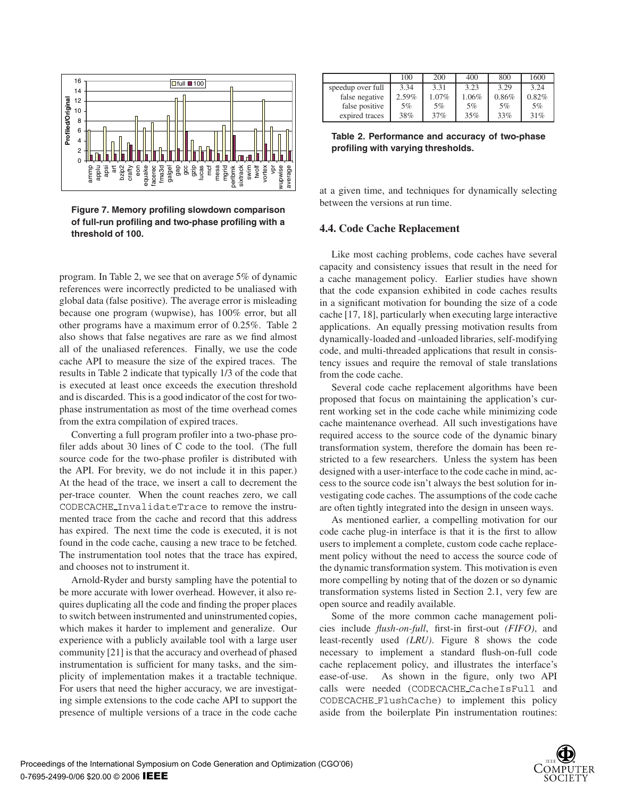

**Figure 7. Memory profiling slowdown comparison of full-run profiling and two-phase profiling with a threshold of 100.**

program. In Table 2, we see that on average 5% of dynamic references were incorrectly predicted to be unaliased with global data (false positive). The average error is misleading because one program (wupwise), has 100% error, but all other programs have a maximum error of 0.25%. Table 2 also shows that false negatives are rare as we find almost all of the unaliased references. Finally, we use the code cache API to measure the size of the expired traces. The results in Table 2 indicate that typically 1/3 of the code that is executed at least once exceeds the execution threshold and is discarded. This is a good indicator of the cost for twophase instrumentation as most of the time overhead comes from the extra compilation of expired traces.

Converting a full program profiler into a two-phase profiler adds about 30 lines of C code to the tool. (The full source code for the two-phase profiler is distributed with the API. For brevity, we do not include it in this paper.) At the head of the trace, we insert a call to decrement the per-trace counter. When the count reaches zero, we call CODECACHE InvalidateTrace to remove the instrumented trace from the cache and record that this address has expired. The next time the code is executed, it is not found in the code cache, causing a new trace to be fetched. The instrumentation tool notes that the trace has expired, and chooses not to instrument it.

Arnold-Ryder and bursty sampling have the potential to be more accurate with lower overhead. However, it also requires duplicating all the code and finding the proper places to switch between instrumented and uninstrumented copies, which makes it harder to implement and generalize. Our experience with a publicly available tool with a large user community [21] is that the accuracy and overhead of phased instrumentation is sufficient for many tasks, and the simplicity of implementation makes it a tractable technique. For users that need the higher accuracy, we are investigating simple extensions to the code cache API to support the presence of multiple versions of a trace in the code cache

|                   | 100   | 200   | 400      | 800   | 1600  |
|-------------------|-------|-------|----------|-------|-------|
| speedup over full | 3.34  | 3.31  | 3.23     | 3.29  | 3.24  |
| false negative    | 2.59% | 1.07% | $1.06\%$ | 0.86% | 0.82% |
| false positive    | 5%    | 5%    | 5%       | 5%    | 5%    |
| expired traces    | 38%   | 37%   | 35%      | 33%   | 31%   |

**Table 2. Performance and accuracy of two-phase profiling with varying thresholds.**

at a given time, and techniques for dynamically selecting between the versions at run time.

#### **4.4. Code Cache Replacement**

Like most caching problems, code caches have several capacity and consistency issues that result in the need for a cache management policy. Earlier studies have shown that the code expansion exhibited in code caches results in a significant motivation for bounding the size of a code cache [17, 18], particularly when executing large interactive applications. An equally pressing motivation results from dynamically-loaded and -unloaded libraries, self-modifying code, and multi-threaded applications that result in consistency issues and require the removal of stale translations from the code cache.

Several code cache replacement algorithms have been proposed that focus on maintaining the application's current working set in the code cache while minimizing code cache maintenance overhead. All such investigations have required access to the source code of the dynamic binary transformation system, therefore the domain has been restricted to a few researchers. Unless the system has been designed with a user-interface to the code cache in mind, access to the source code isn't always the best solution for investigating code caches. The assumptions of the code cache are often tightly integrated into the design in unseen ways.

As mentioned earlier, a compelling motivation for our code cache plug-in interface is that it is the first to allow users to implement a complete, custom code cache replacement policy without the need to access the source code of the dynamic transformation system. This motivation is even more compelling by noting that of the dozen or so dynamic transformation systems listed in Section 2.1, very few are open source and readily available.

Some of the more common cache management policies include *flush-on-full*, first-in first-out *(FIFO)*, and least-recently used *(LRU)*. Figure 8 shows the code necessary to implement a standard flush-on-full code cache replacement policy, and illustrates the interface's ease-of-use. As shown in the figure, only two API calls were needed (CODECACHE CacheIsFull and CODECACHE FlushCache) to implement this policy aside from the boilerplate Pin instrumentation routines: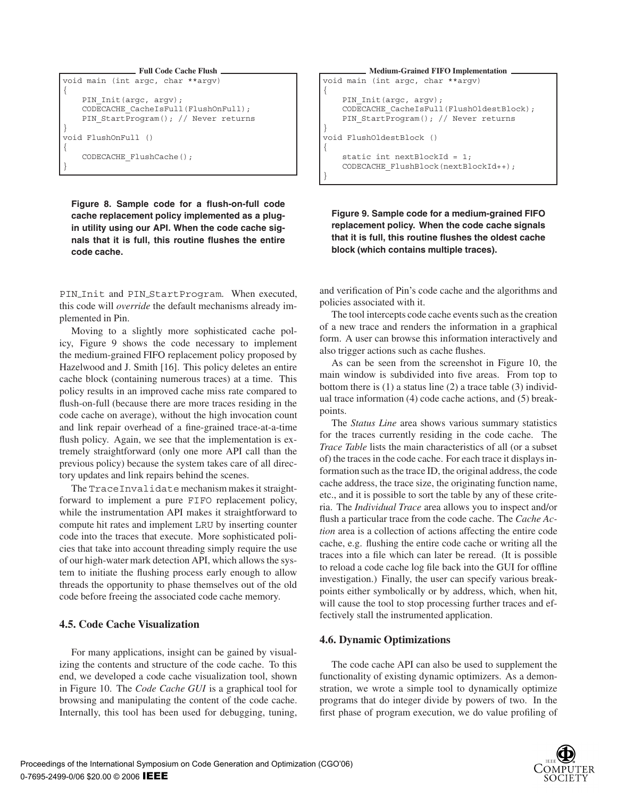```
Full Code Cache Flush
void main (int argc, char **argv)
{
   PIN_Init(argc, argv);
    CODECACHE_CacheIsFull(FlushOnFull);
    PIN StartProgram(); // Never returns
}
void FlushOnFull ()
{
    CODECACHE_FlushCache();
}
```
**Figure 8. Sample code for a flush-on-full code cache replacement policy implemented as a plugin utility using our API. When the code cache signals that it is full, this routine flushes the entire code cache.**

PIN\_Init and PIN\_StartProgram. When executed, this code will *override* the default mechanisms already implemented in Pin.

Moving to a slightly more sophisticated cache policy, Figure 9 shows the code necessary to implement the medium-grained FIFO replacement policy proposed by Hazelwood and J. Smith [16]. This policy deletes an entire cache block (containing numerous traces) at a time. This policy results in an improved cache miss rate compared to flush-on-full (because there are more traces residing in the code cache on average), without the high invocation count and link repair overhead of a fine-grained trace-at-a-time flush policy. Again, we see that the implementation is extremely straightforward (only one more API call than the previous policy) because the system takes care of all directory updates and link repairs behind the scenes.

The TraceInvalidate mechanism makes it straightforward to implement a pure FIFO replacement policy, while the instrumentation API makes it straightforward to compute hit rates and implement LRU by inserting counter code into the traces that execute. More sophisticated policies that take into account threading simply require the use of our high-water mark detection API, which allows the system to initiate the flushing process early enough to allow threads the opportunity to phase themselves out of the old code before freeing the associated code cache memory.

# **4.5. Code Cache Visualization**

For many applications, insight can be gained by visualizing the contents and structure of the code cache. To this end, we developed a code cache visualization tool, shown in Figure 10. The *Code Cache GUI* is a graphical tool for browsing and manipulating the content of the code cache. Internally, this tool has been used for debugging, tuning,

```
Medium-Grained FIFO Implementation
void main (int argc, char **argv)
{
   PIN Init(argc, argv);
   CODECACHE_CacheIsFull(FlushOldestBlock);
   PIN StartProgram(); // Never returns
}
void FlushOldestBlock ()
{
   static int nextBlockId = 1;
   CODECACHE_FlushBlock(nextBlockId++);
}
```
**Figure 9. Sample code for a medium-grained FIFO replacement policy. When the code cache signals that it is full, this routine flushes the oldest cache block (which contains multiple traces).**

and verification of Pin's code cache and the algorithms and policies associated with it.

The tool intercepts code cache events such as the creation of a new trace and renders the information in a graphical form. A user can browse this information interactively and also trigger actions such as cache flushes.

As can be seen from the screenshot in Figure 10, the main window is subdivided into five areas. From top to bottom there is (1) a status line (2) a trace table (3) individual trace information (4) code cache actions, and (5) breakpoints.

The *Status Line* area shows various summary statistics for the traces currently residing in the code cache. The *Trace Table* lists the main characteristics of all (or a subset of) the traces in the code cache. For each trace it displays information such as the trace ID, the original address, the code cache address, the trace size, the originating function name, etc., and it is possible to sort the table by any of these criteria. The *Individual Trace* area allows you to inspect and/or flush a particular trace from the code cache. The *Cache Action* area is a collection of actions affecting the entire code cache, e.g. flushing the entire code cache or writing all the traces into a file which can later be reread. (It is possible to reload a code cache log file back into the GUI for offline investigation.) Finally, the user can specify various breakpoints either symbolically or by address, which, when hit, will cause the tool to stop processing further traces and effectively stall the instrumented application.

# **4.6. Dynamic Optimizations**

The code cache API can also be used to supplement the functionality of existing dynamic optimizers. As a demonstration, we wrote a simple tool to dynamically optimize programs that do integer divide by powers of two. In the first phase of program execution, we do value profiling of

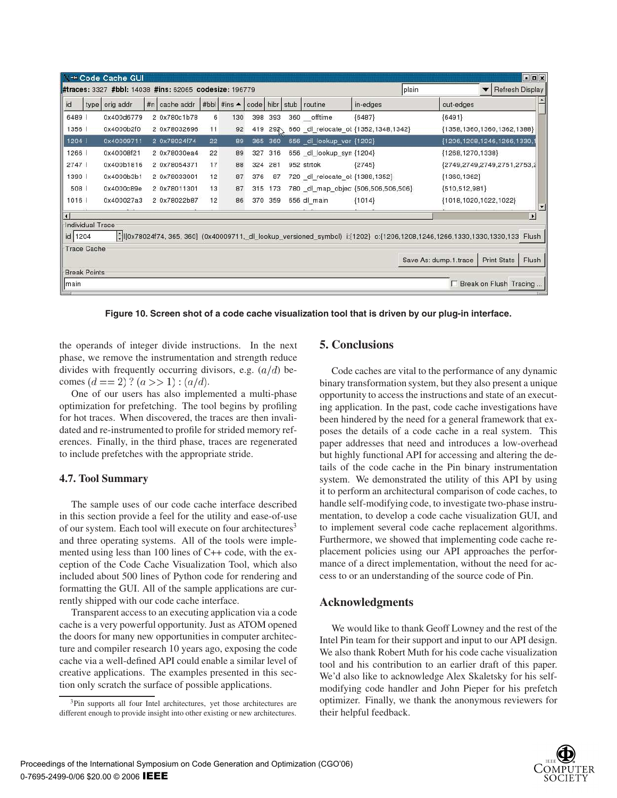| #traces: 3327 #bbl: 14038 #ins: 62065 codesize: 196779<br>plain |                     |                |  |               |    |                       |           |         | Refresh Display                |                                                                                                                                  |                       |                             |             |                       |
|-----------------------------------------------------------------|---------------------|----------------|--|---------------|----|-----------------------|-----------|---------|--------------------------------|----------------------------------------------------------------------------------------------------------------------------------|-----------------------|-----------------------------|-------------|-----------------------|
| id                                                              |                     | type orig addr |  | #n cache addr |    | #bbl #ins $\triangle$ | code hibr |         | stub routine                   | in-edges                                                                                                                         |                       | out-edges                   |             |                       |
| 6489                                                            |                     | 0x400d6779     |  | 2 0x780c1b78  | 6  | 130                   | 398       | 393     | 360 offtime                    | ${6487}$                                                                                                                         |                       | ${6491}$                    |             |                       |
| 1356                                                            |                     | 0x4000b2f0     |  | 20x78032696   | 11 | 92                    | 419       | 297     |                                | 660 dl relocate ot {1352,1348,1342}                                                                                              |                       | {1358,1360,1360,1362,1388}  |             |                       |
| 1204                                                            |                     | 0x40009711     |  | 2 0x78024f74  | 22 | 89                    |           | 365 360 | 656 dl lookup ver {1202}       |                                                                                                                                  |                       | (1206,1208,1246,1266,1330,1 |             |                       |
| 1266                                                            |                     | 0x40008f21     |  | 2 0x78030ea4  | 22 | 89                    |           | 327 316 | 656 dl lookup_syn {1204}       |                                                                                                                                  |                       | ${1268, 1270, 1338}$        |             |                       |
| 2747                                                            |                     | 0x400b1816     |  | 2 0x78054371  | 17 | 88                    |           | 324 281 | 952 strtok                     | ${2745}$                                                                                                                         |                       | {2749,2749,2749,2751,2753,2 |             |                       |
| 1390                                                            |                     | 0x4000b3b1     |  | 20x78033001   | 12 | 87                    | 376       | 87      | 720 dl relocate ot {1388,1352} |                                                                                                                                  |                       | ${1360, 1362}$              |             |                       |
| 508                                                             |                     | 0x4000c89e     |  | 2 0x78011301  | 13 | 87                    |           | 315 173 |                                | 780 dl map objec {506,506,506,506}                                                                                               |                       | ${510,512,981}$             |             |                       |
| 1016                                                            |                     | 0x400027a3     |  | 2 0x78022b87  | 12 | 86                    |           | 370 359 | 656 dl main                    | ${1014}$                                                                                                                         |                       | {1018,1020,1022,1022}       |             | $\mathbf{r}$          |
| $\blacksquare$                                                  |                     |                |  |               |    |                       |           |         |                                |                                                                                                                                  |                       |                             |             | $\blacktriangleright$ |
| Individual Trace                                                |                     |                |  |               |    |                       |           |         |                                |                                                                                                                                  |                       |                             |             |                       |
| id 1204                                                         |                     |                |  |               |    |                       |           |         |                                | -  [0x78024f74, 365, 360] (0x40009711,_d _lookup_versioned_symbol) i:{1202} o:{1206,1208,1246,1266,1330,1330,1330,1339,133 Flush |                       |                             |             |                       |
| <b>Trace Cache</b>                                              |                     |                |  |               |    |                       |           |         |                                |                                                                                                                                  |                       |                             |             |                       |
|                                                                 |                     |                |  |               |    |                       |           |         |                                |                                                                                                                                  | Save As: dump.1.trace |                             | Print Stats | Flush                 |
|                                                                 | <b>Break Points</b> |                |  |               |    |                       |           |         |                                |                                                                                                                                  |                       |                             |             |                       |

**Figure 10. Screen shot of a code cache visualization tool that is driven by our plug-in interface.**

the operands of integer divide instructions. In the next phase, we remove the instrumentation and strength reduce divides with frequently occurring divisors, e.g.  $(a/d)$  becomes  $(d == 2)$  ?  $(a \gg 1)$  :  $(a/d)$ .

One of our users has also implemented a multi-phase optimization for prefetching. The tool begins by profiling for hot traces. When discovered, the traces are then invalidated and re-instrumented to profile for strided memory references. Finally, in the third phase, traces are regenerated to include prefetches with the appropriate stride.

# **4.7. Tool Summary**

The sample uses of our code cache interface described in this section provide a feel for the utility and ease-of-use of our system. Each tool will execute on four architectures<sup>3</sup> and three operating systems. All of the tools were implemented using less than 100 lines of C++ code, with the exception of the Code Cache Visualization Tool, which also included about 500 lines of Python code for rendering and formatting the GUI. All of the sample applications are currently shipped with our code cache interface.

Transparent access to an executing application via a code cache is a very powerful opportunity. Just as ATOM opened the doors for many new opportunities in computer architecture and compiler research 10 years ago, exposing the code cache via a well-defined API could enable a similar level of creative applications. The examples presented in this section only scratch the surface of possible applications.

# **5. Conclusions**

Code caches are vital to the performance of any dynamic binary transformation system, but they also present a unique opportunity to access the instructions and state of an executing application. In the past, code cache investigations have been hindered by the need for a general framework that exposes the details of a code cache in a real system. This paper addresses that need and introduces a low-overhead but highly functional API for accessing and altering the details of the code cache in the Pin binary instrumentation system. We demonstrated the utility of this API by using it to perform an architectural comparison of code caches, to handle self-modifying code, to investigate two-phase instrumentation, to develop a code cache visualization GUI, and to implement several code cache replacement algorithms. Furthermore, we showed that implementing code cache replacement policies using our API approaches the performance of a direct implementation, without the need for access to or an understanding of the source code of Pin.

# **Acknowledgments**

We would like to thank Geoff Lowney and the rest of the Intel Pin team for their support and input to our API design. We also thank Robert Muth for his code cache visualization tool and his contribution to an earlier draft of this paper. We'd also like to acknowledge Alex Skaletsky for his selfmodifying code handler and John Pieper for his prefetch optimizer. Finally, we thank the anonymous reviewers for their helpful feedback.

<sup>&</sup>lt;sup>3</sup>Pin supports all four Intel architectures, yet those architectures are different enough to provide insight into other existing or new architectures.